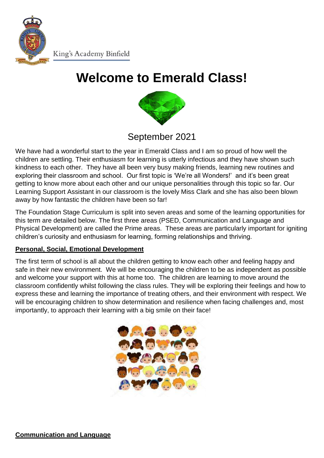

King's Academy Binfield

# **Welcome to Emerald Class!**



# September 2021

We have had a wonderful start to the year in Emerald Class and I am so proud of how well the children are settling. Their enthusiasm for learning is utterly infectious and they have shown such kindness to each other. They have all been very busy making friends, learning new routines and exploring their classroom and school. Our first topic is 'We're all Wonders!' and it's been great getting to know more about each other and our unique personalities through this topic so far. Our Learning Support Assistant in our classroom is the lovely Miss Clark and she has also been blown away by how fantastic the children have been so far!

The Foundation Stage Curriculum is split into seven areas and some of the learning opportunities for this term are detailed below. The first three areas (PSED, Communication and Language and Physical Development) are called the Prime areas. These areas are particularly important for igniting children's curiosity and enthusiasm for learning, forming relationships and thriving.

#### **Personal, Social, Emotional Development**

The first term of school is all about the children getting to know each other and feeling happy and safe in their new environment. We will be encouraging the children to be as independent as possible and welcome your support with this at home too. The children are learning to move around the classroom confidently whilst following the class rules. They will be exploring their feelings and how to express these and learning the importance of treating others, and their environment with respect. We will be encouraging children to show determination and resilience when facing challenges and, most importantly, to approach their learning with a big smile on their face!

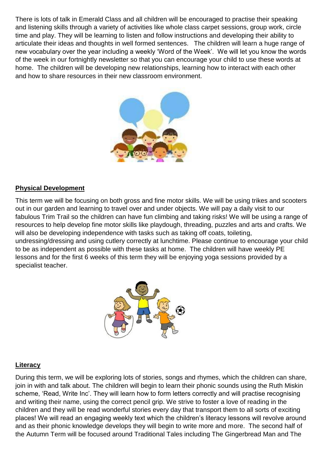There is lots of talk in Emerald Class and all children will be encouraged to practise their speaking and listening skills through a variety of activities like whole class carpet sessions, group work, circle time and play. They will be learning to listen and follow instructions and developing their ability to articulate their ideas and thoughts in well formed sentences. The children will learn a huge range of new vocabulary over the year including a weekly 'Word of the Week'. We will let you know the words of the week in our fortnightly newsletter so that you can encourage your child to use these words at home. The children will be developing new relationships, learning how to interact with each other and how to share resources in their new classroom environment.



#### **Physical Development**

This term we will be focusing on both gross and fine motor skills. We will be using trikes and scooters out in our garden and learning to travel over and under objects. We will pay a daily visit to our fabulous Trim Trail so the children can have fun climbing and taking risks! We will be using a range of resources to help develop fine motor skills like playdough, threading, puzzles and arts and crafts. We will also be developing independence with tasks such as taking off coats, toileting, undressing/dressing and using cutlery correctly at lunchtime. Please continue to encourage your child to be as independent as possible with these tasks at home. The children will have weekly PE lessons and for the first 6 weeks of this term they will be enjoying yoga sessions provided by a specialist teacher.



#### **Literacy**

During this term, we will be exploring lots of stories, songs and rhymes, which the children can share, join in with and talk about. The children will begin to learn their phonic sounds using the Ruth Miskin scheme, 'Read, Write Inc'. They will learn how to form letters correctly and will practise recognising and writing their name, using the correct pencil grip. We strive to foster a love of reading in the children and they will be read wonderful stories every day that transport them to all sorts of exciting places! We will read an engaging weekly text which the children's literacy lessons will revolve around and as their phonic knowledge develops they will begin to write more and more. The second half of the Autumn Term will be focused around Traditional Tales including The Gingerbread Man and The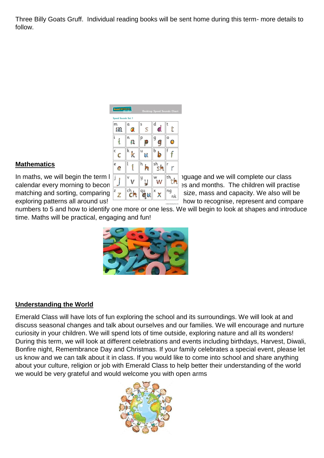Three Billy Goats Gruff. Individual reading books will be sent home during this term- more details to follow.

| Read Write to.     |        |        | Desktop Speed Sounds Chart |            |
|--------------------|--------|--------|----------------------------|------------|
| Speed Sounds Set 1 |        |        |                            |            |
| m<br>£П            | α<br>ъ | s<br>S | d<br>d                     |            |
| i                  | n<br>n | р<br>Ľ | g<br>ś                     | о<br>D     |
| c                  | k      | u<br>Ó | b                          |            |
| e<br>e             | l      | h<br>h | sh<br>SI.                  | ۲          |
| j                  | ν      | y      | w                          | th<br>t fa |
| z                  | ch     |        | x                          | ng<br>nk   |

### **Mathematics**

In maths, we will begin the term  $\frac{1}{2}$  by exploring positional language and we will complete our class calendar every morning to becon  $\frac{1}{1}$   $\frac{1}{1}$   $\frac{1}{1}$   $\frac{1}{1}$   $\frac{1}{1}$   $\frac{1}{1}$   $\frac{1}{1}$  as and months. The children will practise matching and sorting, comparing  $\frac{z}{2}$   $\frac{\log z}{\log z}$   $\frac{\log z}{\log z}$  size, mass and capacity. We also will be exploring patterns all around us!

numbers to 5 and how to identify one more or one less. We will begin to look at shapes and introduce time. Maths will be practical, engaging and fun!



# **Understanding the World**

Emerald Class will have lots of fun exploring the school and its surroundings. We will look at and discuss seasonal changes and talk about ourselves and our families. We will encourage and nurture curiosity in your children. We will spend lots of time outside, exploring nature and all its wonders! During this term, we will look at different celebrations and events including birthdays, Harvest, Diwali, Bonfire night, Remembrance Day and Christmas. If your family celebrates a special event, please let us know and we can talk about it in class. If you would like to come into school and share anything about your culture, religion or job with Emerald Class to help better their understanding of the world we would be very grateful and would welcome you with open arms

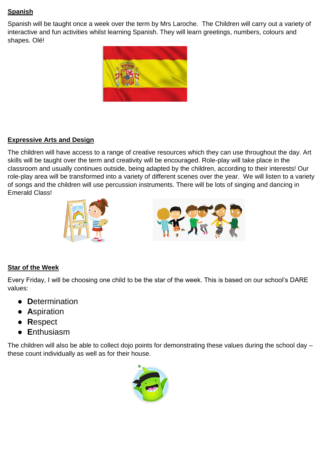# **Spanish**

Spanish will be taught once a week over the term by Mrs Laroche. The Children will carry out a variety of interactive and fun activities whilst learning Spanish. They will learn greetings, numbers, colours and shapes. Olé!



### **Expressive Arts and Design**

The children will have access to a range of creative resources which they can use throughout the day. Art skills will be taught over the term and creativity will be encouraged. Role-play will take place in the classroom and usually continues outside, being adapted by the children, according to their interests! Our role-play area will be transformed into a variety of different scenes over the year. We will listen to a variety of songs and the children will use percussion instruments. There will be lots of singing and dancing in Emerald Class!



# **Star of the Week**

Every Friday, I will be choosing one child to be the star of the week. This is based on our school's DARE values:

- **D**etermination
- **A**spiration
- **R**espect
- **E**nthusiasm

The children will also be able to collect dojo points for demonstrating these values during the school day – these count individually as well as for their house.

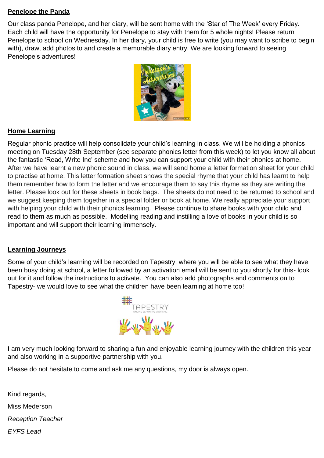#### **Penelope the Panda**

Our class panda Penelope, and her diary, will be sent home with the 'Star of The Week' every Friday. Each child will have the opportunity for Penelope to stay with them for 5 whole nights! Please return Penelope to school on Wednesday. In her diary, your child is free to write (you may want to scribe to begin with), draw, add photos to and create a memorable diary entry. We are looking forward to seeing Penelope's adventures!



# **Home Learning**

Regular phonic practice will help consolidate your child's learning in class. We will be holding a phonics meeting on Tuesday 28th September (see separate phonics letter from this week) to let you know all about the fantastic 'Read, Write Inc' scheme and how you can support your child with their phonics at home. After we have learnt a new phonic sound in class, we will send home a letter formation sheet for your child to practise at home. This letter formation sheet shows the special rhyme that your child has learnt to help them remember how to form the letter and we encourage them to say this rhyme as they are writing the letter. Please look out for these sheets in book bags. The sheets do not need to be returned to school and we suggest keeping them together in a special folder or book at home. We really appreciate your support with helping your child with their phonics learning. Please continue to share books with your child and read to them as much as possible. Modelling reading and instilling a love of books in your child is so important and will support their learning immensely.

#### **Learning Journeys**

Some of your child's learning will be recorded on Tapestry, where you will be able to see what they have been busy doing at school, a letter followed by an activation email will be sent to you shortly for this- look out for it and follow the instructions to activate. You can also add photographs and comments on to Tapestry- we would love to see what the children have been learning at home too!



I am very much looking forward to sharing a fun and enjoyable learning journey with the children this year and also working in a supportive partnership with you.

Please do not hesitate to come and ask me any questions, my door is always open.

Kind regards, Miss Mederson *Reception Teacher EYFS Lead*